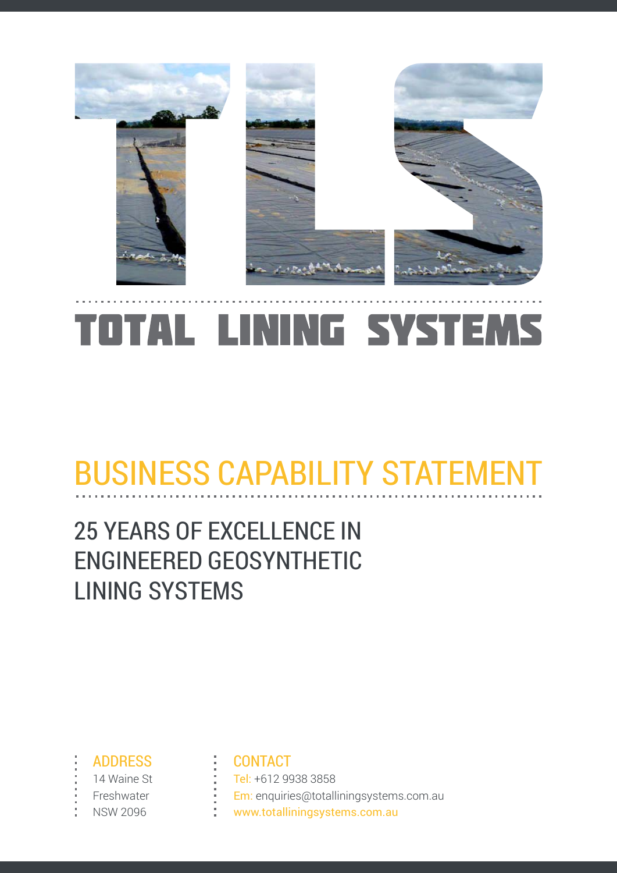

# TOTAL LINING SYSTEMS

# **BUSINESS CAPABILITY STATEMENT**

### **25 YEARS OF EXCELLENCE IN ENGINEERED GEOSYNTHETIC LINING SYSTEMS**

- **ADDRESS**
- 14 Waine St
- Freshwater
- **NSW 2096**

#### **CONTACT**

Tel: +612 9938 3858 Em: enquiries@totalliningsystems.com.au www.totalliningsystems.com.au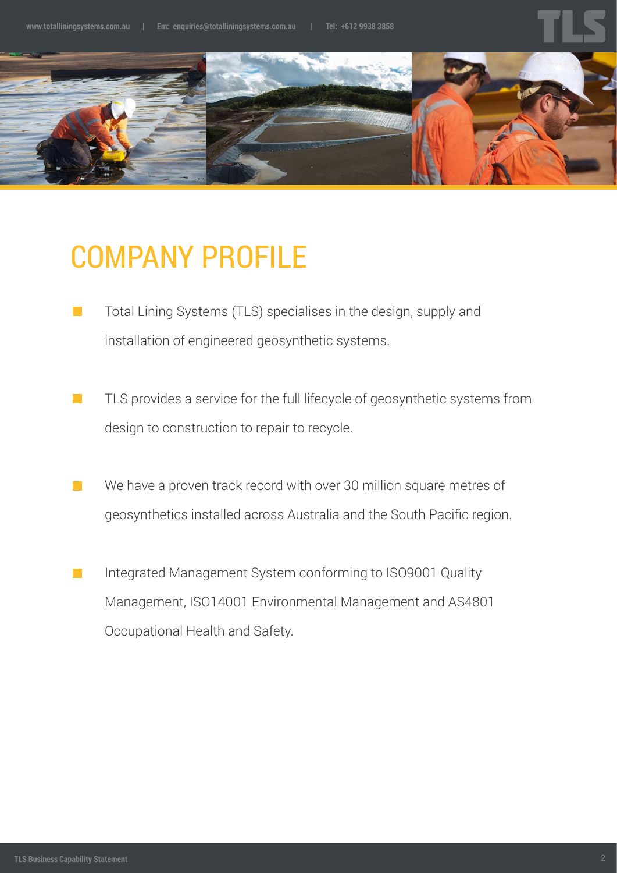

### COMPANY PROFILE

- Total Lining Systems (TLS) specialises in the design, supply and  $\mathbb{R}^n$ installation of engineered geosynthetic systems.
- TLS provides a service for the full lifecycle of geosynthetic systems from design to construction to repair to recycle.
- We have a proven track record with over 30 million square metres of  $\mathcal{L}^{\text{max}}$ geosynthetics installed across Australia and the South Pacific region.
- Integrated Management System conforming to ISO9001 Quality  $\mathbb{R}^n$ Management, ISO14001 Environmental Management and AS4801 Occupational Health and Safety.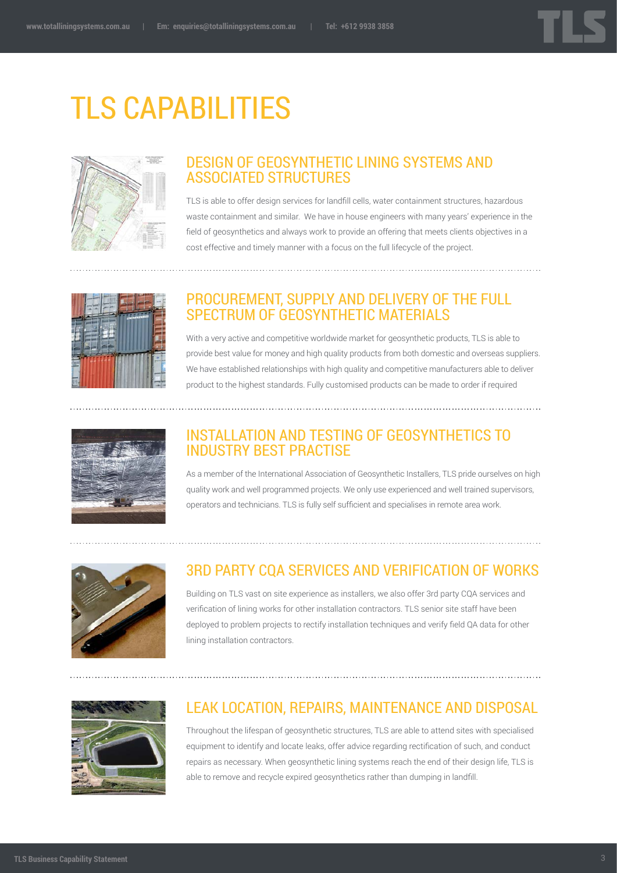

### TLS CAPABILITIES



#### DESIGN OF GEOSYNTHETIC LINING SYSTEMS AND associated structures

TLS is able to offer design services for landfill cells, water containment structures, hazardous waste containment and similar. We have in house engineers with many years' experience in the field of geosynthetics and always work to provide an offering that meets clients objectives in a cost effective and timely manner with a focus on the full lifecycle of the project.



#### Procurement, supply and delivery of the full SPECTRUM OF GEOSYNTHETIC MATERIALS

With a very active and competitive worldwide market for geosynthetic products, TLS is able to provide best value for money and high quality products from both domestic and overseas suppliers. We have established relationships with high quality and competitive manufacturers able to deliver product to the highest standards. Fully customised products can be made to order if required



#### Installation and testing of geosynthetics to industry best practise

As a member of the International Association of Geosynthetic Installers, TLS pride ourselves on high quality work and well programmed projects. We only use experienced and well trained supervisors, operators and technicians. TLS is fully self sufficient and specialises in remote area work.



#### 3RD PARTY CQA SERVICES AND VERIFICATION OF WORKS

Building on TLS vast on site experience as installers, we also offer 3rd party CQA services and verification of lining works for other installation contractors. TLS senior site staff have been deployed to problem projects to rectify installation techniques and verify field QA data for other lining installation contractors.



#### LEAK LOCATION, REPAIRS, MAINTENANCE and DISPOSAL

Throughout the lifespan of geosynthetic structures, TLS are able to attend sites with specialised equipment to identify and locate leaks, offer advice regarding rectification of such, and conduct repairs as necessary. When geosynthetic lining systems reach the end of their design life, TLS is able to remove and recycle expired geosynthetics rather than dumping in landfill.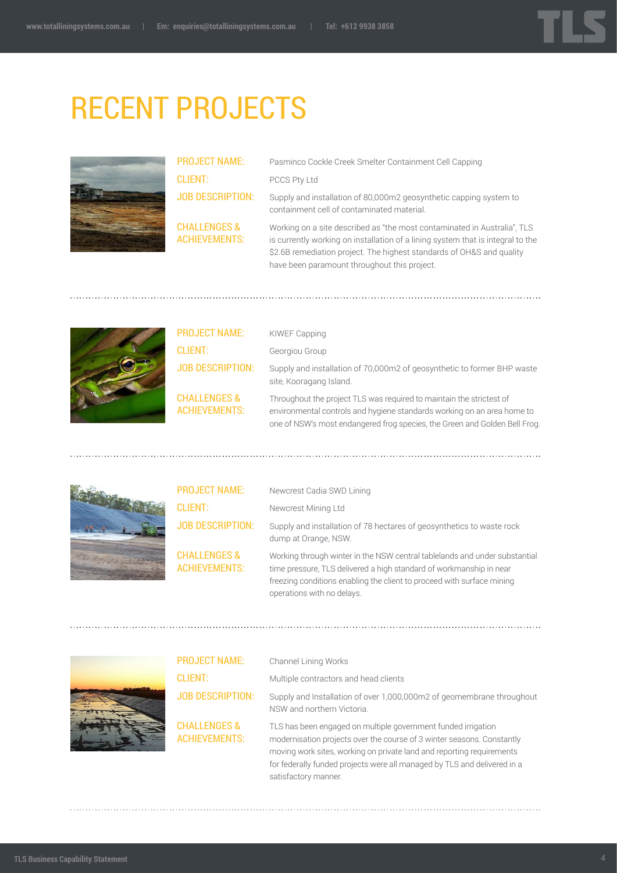

### RECENT PROJECTS



PROJECT NAME: Client: JOB DESCRIPTION:

Challenges & **ACHIEVEMENTS:**  Pasminco Cockle Creek Smelter Containment Cell Capping PCCS Pty Ltd

Supply and installation of 80,000m2 geosynthetic capping system to containment cell of contaminated material.

Working on a site described as "the most contaminated in Australia", TLS is currently working on installation of a lining system that is integral to the \$2.6B remediation project. The highest standards of OH&S and quality have been paramount throughout this project.



| <b>PROJECT NAME:</b>                            | <b>KIWEF Capping</b>                                                                                                                                                                                                          |
|-------------------------------------------------|-------------------------------------------------------------------------------------------------------------------------------------------------------------------------------------------------------------------------------|
| <b>CLIENT:</b>                                  | Georgiou Group                                                                                                                                                                                                                |
| <b>JOB DESCRIPTION:</b>                         | Supply and installation of 70,000m2 of geosynthetic to former BHP waste<br>site, Kooragang Island.                                                                                                                            |
| <b>CHALLENGES &amp;</b><br><b>ACHIEVEMENTS:</b> | Throughout the project TLS was required to maintain the strictest of<br>environmental controls and hygiene standards working on an area home to<br>one of NSW's most endangered frog species, the Green and Golden Bell Frog. |



| <b>PROJECT NAME:</b>                            | Newcrest Cadia SWD Lining                                                                                                                                                                                                                                |
|-------------------------------------------------|----------------------------------------------------------------------------------------------------------------------------------------------------------------------------------------------------------------------------------------------------------|
| <b>CLIENT:</b>                                  | Newcrest Mining Ltd                                                                                                                                                                                                                                      |
| <b>JOB DESCRIPTION:</b>                         | Supply and installation of 78 hectares of geosynthetics to waste rock<br>dump at Orange, NSW.                                                                                                                                                            |
| <b>CHALLENGES &amp;</b><br><b>ACHIEVEMENTS:</b> | Working through winter in the NSW central table and and under substantial<br>time pressure. TLS delivered a high standard of workmanship in near<br>freezing conditions enabling the client to proceed with surface mining<br>operations with no delays. |



PROJECT NAME: Client: JOB DESCRIPTION: Challenges & **ACHIEVEMENTS:** Channel Lining Works Multiple contractors and head clients Supply and Installation of over 1,000,000m2 of geomembrane throughout NSW and northern Victoria. TLS has been engaged on multiple government funded irrigation modernisation projects over the course of 3 winter seasons. Constantly moving work sites, working on private land and reporting requirements for federally funded projects were all managed by TLS and delivered in a

satisfactory manner.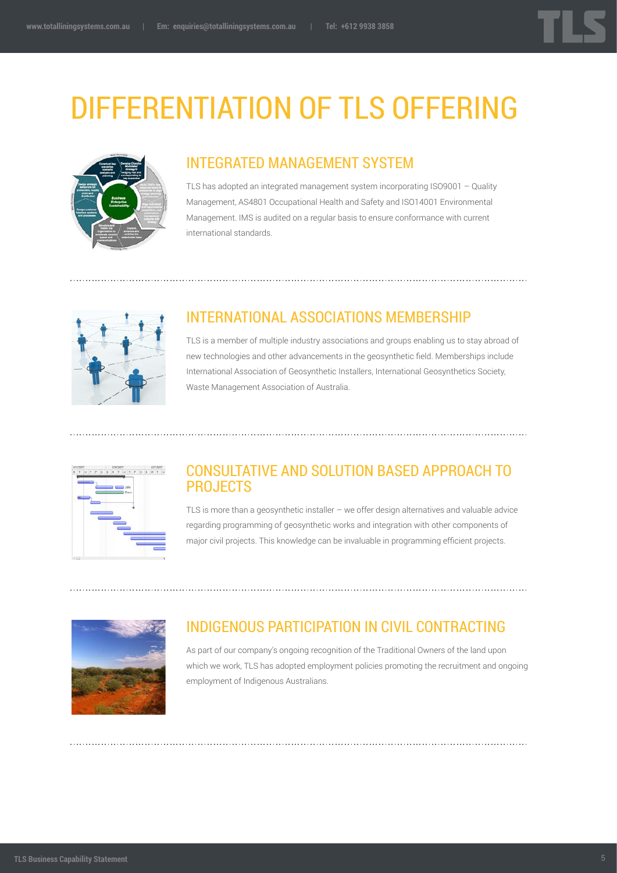## Differentiation of TLS offering



#### Integrated Management System

TLS has adopted an integrated management system incorporating ISO9001 – Quality Management, AS4801 Occupational Health and Safety and ISO14001 Environmental Management. IMS is audited on a regular basis to ensure conformance with current international standards.



### International Associations Membership

TLS is a member of multiple industry associations and groups enabling us to stay abroad of new technologies and other advancements in the geosynthetic field. Memberships include International Association of Geosynthetic Installers, International Geosynthetics Society, Waste Management Association of Australia.



#### Consultative and Solution Based Approach to **PROJECTS**

TLS is more than a geosynthetic installer – we offer design alternatives and valuable advice regarding programming of geosynthetic works and integration with other components of major civil projects. This knowledge can be invaluable in programming efficient projects.



#### Indigenous participation in civil contracting

As part of our company's ongoing recognition of the Traditional Owners of the land upon which we work, TLS has adopted employment policies promoting the recruitment and ongoing employment of Indigenous Australians.